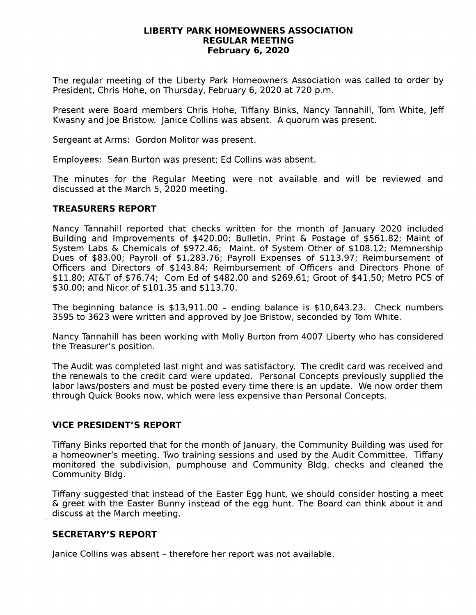#### LIBERTY PARK HOMEOWNERS ASSOCIATION REGULAR MEETING February 6,2O2O

The regular meeting of the Liberty Park Homeowners Association was called to order by President, Chris Hohe, on Thursday, February 6,2020 at 720 p,m.

Present were Board members Chris Hohe, Tiffany Binks, Nancy Tannahill, Tom White, Jeff Kwasny and Joe Bristow, Janice Collins was absent. A quorum was present.

Sergeant at Arms: Gordon Molitor was present.

Employees: Sean Burton was present; Ed Collins was absent.

The minutes for the Regular Meeting were not available and will be reviewed and discussed at the March 5,2020 meeting,

## TREASURERS REPORT

Nancy Tannahill reported that checks written for the month of January 2020 included Building and Improvements of \$420.00; Bulletin, Print & Postage of \$561.82; Maint of System Labs & Chemicals of  $$972.46$ ; Maint. of System Other of  $$108.12$ ; Memnership Dues of \$83.00; Payroll of \$1,283.76; Payroll Expenses of \$113.97; Reimbursement of Officers and Directors of \$143.84; Reimbursement of Officers and Directors Phone of \$11.80; AT&T of \$76.74; Com Ed of \$482.00 and \$269.61; Groot of \$41.50; Metro PCS of \$30.00; and Nicor of \$101.35 and \$113.70.

The beginning balance is  $$13,911.00$  - ending balance is  $$10,643.23$ . Check numbers 3595 to 3623 were written and approved by Joe Bristow, seconded by Tom White.

Nancy Tannahill has been working with Molly Burton from 4007 Liberty who has considered the Treasurer's position.

The Audit was completed last night and was satisfactory. The credit card was received and the renewals to the credit card were updated. Personal Concepts previously supplied the labor laws/posters and must be posted every time there is an update. We now order them through Quick Books now, which were less expensive than Personal Concepts.

### VICE PRESIDENT'S REPORT

Tiffany Binks reported that for the month of January, the Community Building was used for a homeowner's meeting. Two training sessions and used by the Audit Committee. Tiffany monitored the subdivision, pumphouse and Community Bldg. checks and cleaned the Community Bldg.

Tiffany suggested that instead of the Easter Egg hunt, we should consider hosting a meet & greet with the Easter Bunny instead of the egg hunt. The Board can think about it and discuss at the March meeting.

# SECRETARY'S REPORT

Janice Collins was absent - therefore her report was not available.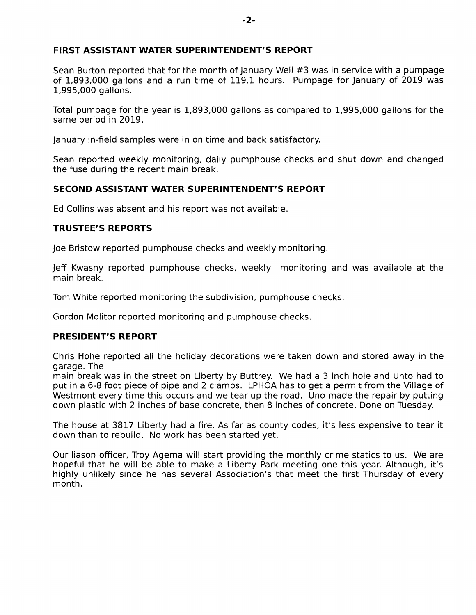# FIRST ASSISTANT WATER SUPERINTENDENT'S REPORT

Sean Burton reported that for the month of January Well #3 was in service with a pumpage of 1,893,000 gallons and a run time of 119.1 hours. Pumpage for January of 2019 was l-,995,000 gallons.

Total pumpage for the year is L,893,000 gallons as compared to 1,995,000 gallons for the same period in 2019.

January in-field samples were in on time and back satisfactory.

Sean reported weekly monitoring, daily pumphouse checks and shut down and changed the fuse during the recent main break.

### SECOND ASSISTANT WATER SUPERINTENDENT'S REPORT

Ed Collins was absent and his report was not available.

#### TRUSTEE'S REPORTS

Joe Bristow reported pumphouse checks and weekly monitoring,

Jeff Kwasny reported pumphouse checks, weekly monitoring and was available at the main break.

Tom White reported monitoring the subdivision, pumphouse checks.

Gordon Molitor reported monitoring and pumphouse checks.

### PRESIDENT'S REPORT

Chris Hohe reported all the holiday decorations were taken down and stored away in the garage. The

main break was in the street on Liberty by Buttrey. We had a 3 inch hole and Unto had to put in a 6-8 foot piece of pipe and 2 clamps. LPHOA has to get a permit from the Village of Westmont every time this occurs and we tear up the road. Uno made the repair by putting down plastic with 2 inches of base concrete, then 8 inches of concrete. Done on Tuesday.

The house at 3817 Liberty had a fire, As far as county codes, it's less expensive to tear it down than to rebuild. No work has been started yet.

Our liason officer, Troy Agema will start providing the monthly crime statics to us. We are hopeful that he will be able to make a Liberty Park meeting one this year. Although, it's highly unlikely since he has several Association's that meet the first Thursday of every month.